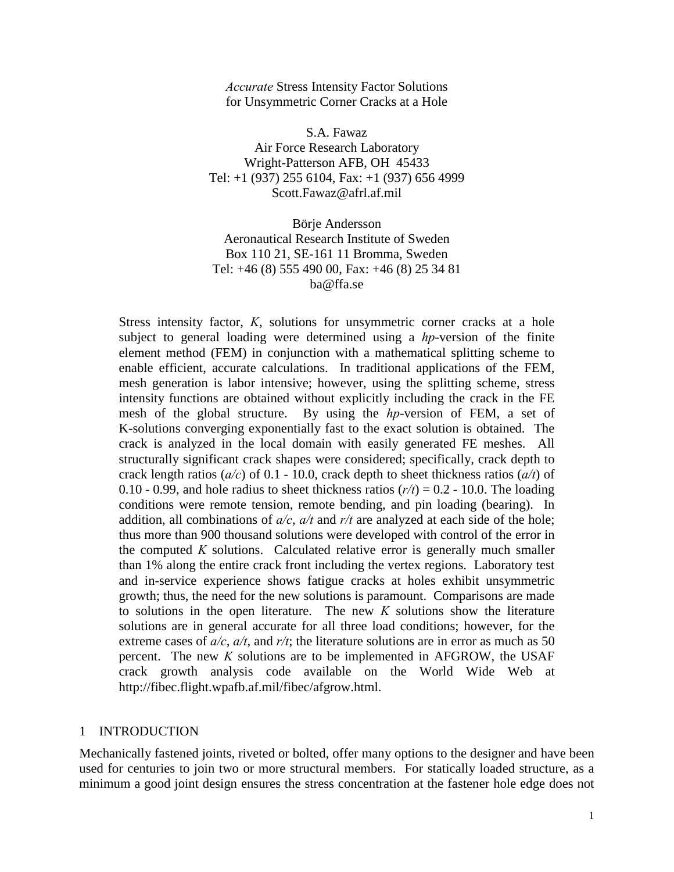*Accurate* Stress Intensity Factor Solutions for Unsymmetric Corner Cracks at a Hole

S.A. Fawaz Air Force Research Laboratory Wright-Patterson AFB, OH 45433 Tel: +1 (937) 255 6104, Fax: +1 (937) 656 4999 [Scott.Fawaz@afrl.af.mil](mailto:Scott.Fawaz@afrl.af.mil) 

Börje Andersson Aeronautical Research Institute of Sweden Box 110 21, SE-161 11 Bromma, Sweden Tel: +46 (8) 555 490 00, Fax: +46 (8) 25 34 81 ba@ffa.se

Stress intensity factor, *K*, solutions for unsymmetric corner cracks at a hole subject to general loading were determined using a *hp*-version of the finite element method (FEM) in conjunction with a mathematical splitting scheme to enable efficient, accurate calculations. In traditional applications of the FEM, mesh generation is labor intensive; however, using the splitting scheme, stress intensity functions are obtained without explicitly including the crack in the FE mesh of the global structure. By using the *hp*-version of FEM, a set of K-solutions converging exponentially fast to the exact solution is obtained. The crack is analyzed in the local domain with easily generated FE meshes. All structurally significant crack shapes were considered; specifically, crack depth to crack length ratios (*a/c*) of 0.1 - 10.0, crack depth to sheet thickness ratios (*a/t*) of 0.10 - 0.99, and hole radius to sheet thickness ratios  $(r/t) = 0.2 - 10.0$ . The loading conditions were remote tension, remote bending, and pin loading (bearing). In addition, all combinations of *a/c*, *a/t* and *r/t* are analyzed at each side of the hole; thus more than 900 thousand solutions were developed with control of the error in the computed *K* solutions. Calculated relative error is generally much smaller than 1% along the entire crack front including the vertex regions. Laboratory test and in-service experience shows fatigue cracks at holes exhibit unsymmetric growth; thus, the need for the new solutions is paramount. Comparisons are made to solutions in the open literature. The new *K* solutions show the literature solutions are in general accurate for all three load conditions; however, for the extreme cases of *a/c*, *a/t*, and *r/t*; the literature solutions are in error as much as 50 percent. The new *K* solutions are to be implemented in AFGROW, the USAF crack growth analysis code available on the World Wide Web at http://fibec.flight.wpafb.af.mil/fibec/afgrow.html.

#### 1 INTRODUCTION

Mechanically fastened joints, riveted or bolted, offer many options to the designer and have been used for centuries to join two or more structural members. For statically loaded structure, as a minimum a good joint design ensures the stress concentration at the fastener hole edge does not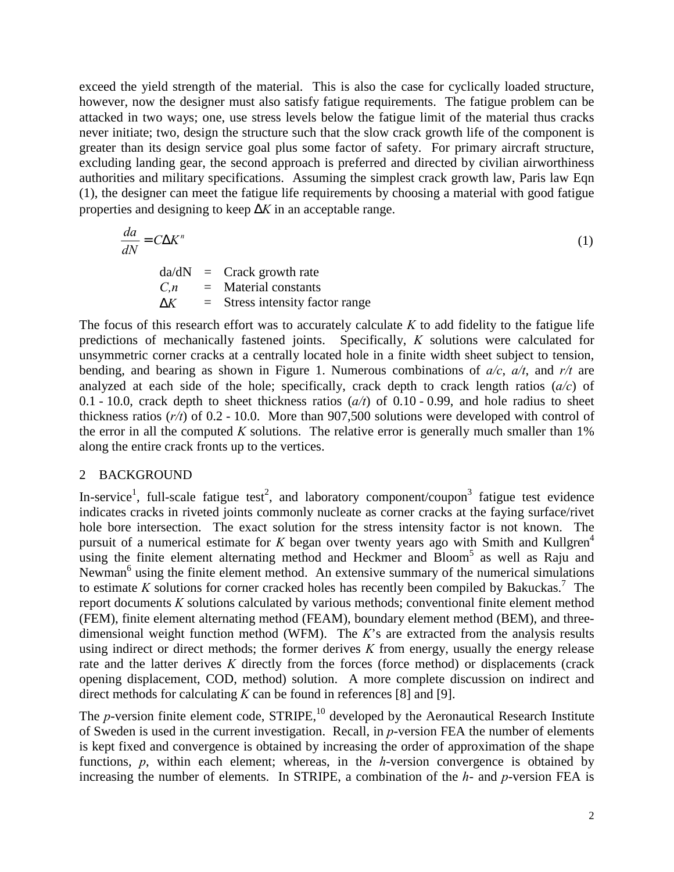<span id="page-1-0"></span>exceed the yield strength of the material. This is also the case for cyclically loaded structure, however, now the designer must also satisfy fatigue requirements. The fatigue problem can be attacked in two ways; one, use stress levels below the fatigue limit of the material thus cracks never initiate; two, design the structure such that the slow crack growth life of the component is greater than its design service goal plus some factor of safety. For primary aircraft structure, excluding landing gear, the second approach is preferred and directed by civilian airworthiness authorities and military specifications. Assuming the simplest crack growth law, Paris law Eqn (1), the designer can meet the fatigue life requirements by choosing a material with good fatigue properties and designing to keep ∆*K* in an acceptable range.

$$
\frac{da}{dN} = C\Delta K^n \tag{1}
$$

 $da/dN =$  Crack growth rate *C,n* = Material constants  $\Delta K$  = Stress intensity factor range

The focus of this research effort was to accurately calculate *K* to add fidelity to the fatigue life predictions of mechanically fastened joints. Specifically, *K* solutions were calculated for unsymmetric corner cracks at a centrally located hole in a finite width sheet subject to tension, bending, and bearing as shown in [Figure 1.](#page-14-0) Numerous combinations of *a/c*, *a/t*, and *r/t* are analyzed at each side of the hole; specifically, crack depth to crack length ratios (*a/c*) of 0.1 - 10.0, crack depth to sheet thickness ratios (*a/t*) of 0.10 - 0.99, and hole radius to sheet thickness ratios (*r/t*) of 0.2 - 10.0. More than 907,500 solutions were developed with control of the error in all the computed  $K$  solutions. The relative error is generally much smaller than  $1\%$ along the entire crack fronts up to the vertices.

# 2 BACKGROUND

In-service<sup>[1](#page-14-0)</sup>, full-scale fatigue test<sup>[2](#page-14-0)</sup>, and laboratory component/coupon<sup>[3](#page-14-0)</sup> fatigue test evidence indicates cracks in riveted joints commonly nucleate as corner cracks at the faying surface/rivet hole bore intersection. The exact solution for the stress intensity factor is not known. The pursuit of a numerical estimate for  $K$  began over twenty years ago with Smith and Kullgren<sup>4</sup> using the finite element alternating method and Heckmer and Bloom<sup>[5](#page-14-0)</sup> as well as Raju and Newman<sup>[6](#page-14-0)</sup> using the finite element method. An extensive summary of the numerical simulations to estimate *K* solutions for corner cracked holes has recently been compiled by Bakuckas.<sup>[7](#page-14-0)</sup> The report documents *K* solutions calculated by various methods; conventional finite element method (FEM), finite element alternating method (FEAM), boundary element method (BEM), and threedimensional weight function method (WFM). The *K*'s are extracted from the analysis results using indirect or direct methods; the former derives *K* from energy, usually the energy release rate and the latter derives *K* directly from the forces (force method) or displacements (crack opening displacement, COD, method) solution. A more complete discussion on indirect and direct methods for calculating *K* can be found in references [\[8\]](#page-14-0) and [[9\]](#page-14-0).

The *p*-version finite element code,  $STRIPE<sup>10</sup>$ , developed by the Aeronautical Research Institute of Sweden is used in the current investigation. Recall, in *p*-version FEA the number of elements is kept fixed and convergence is obtained by increasing the order of approximation of the shape functions, *p*, within each element; whereas, in the *h*-version convergence is obtained by increasing the number of elements. In STRIPE, a combination of the *h*- and *p*-version FEA is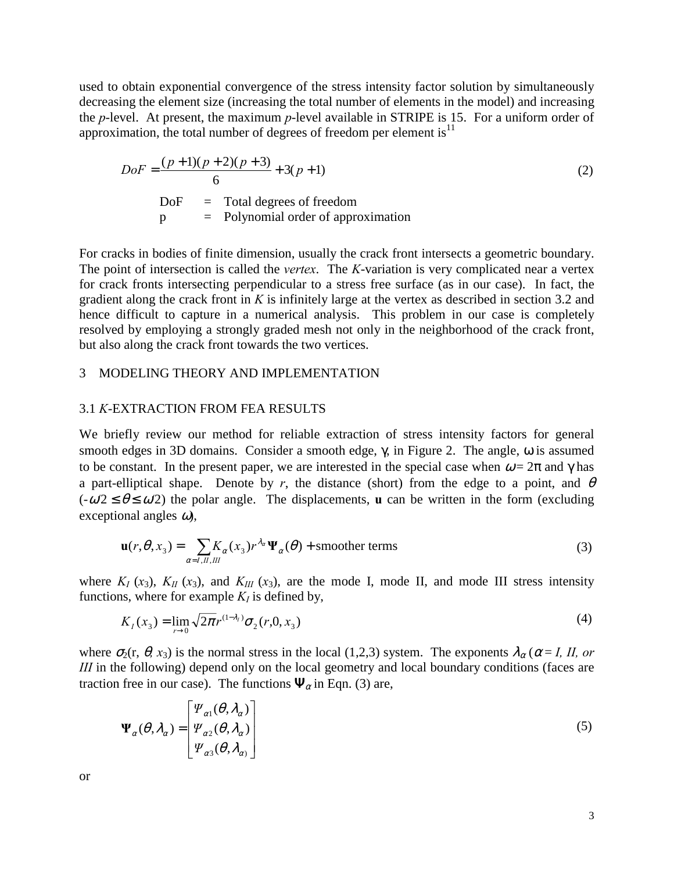<span id="page-2-0"></span>used to obtain exponential convergence of the stress intensity factor solution by simultaneously decreasing the element size (increasing the total number of elements in the model) and increasing the *p*-level. At present, the maximum *p*-level available in STRIPE is 15. For a uniform order of approximation, the total number of degrees of freedom per element is<sup>[11](#page-14-0)</sup>

$$
DoF = \frac{(p+1)(p+2)(p+3)}{6} + 3(p+1)
$$
  
DoF = Total degrees of freedom  
p = Polynomial order of approximation

For cracks in bodies of finite dimension, usually the crack front intersects a geometric boundary. The point of intersection is called the *vertex*. The *K*-variation is very complicated near a vertex for crack fronts intersecting perpendicular to a stress free surface (as in our case). In fact, the gradient along the crack front in *K* is infinitely large at the vertex as described in section [3.2](#page-5-0) and hence difficult to capture in a numerical analysis. This problem in our case is completely resolved by employing a strongly graded mesh not only in the neighborhood of the crack front, but also along the crack front towards the two vertices.

#### 3 MODELING THEORY AND IMPLEMENTATION

#### 3.1 *K*-EXTRACTION FROM FEA RESULTS

We briefly review our method for reliable extraction of stress intensity factors for general smooth edges in 3D domains. Consider a smooth edge, γ, in [Figure 2.](#page-14-0) The angle, ω is assumed to be constant. In the present paper, we are interested in the special case when  $\omega = 2\pi$  and  $\gamma$  has a part-elliptical shape. Denote by *r*, the distance (short) from the edge to a point, and  $\theta$  $(-\omega/2 \le \theta \le \omega/2)$  the polar angle. The displacements, **u** can be written in the form (excluding exceptional angles  $\omega$ ),

$$
\mathbf{u}(r,\theta,x_3) = \sum_{\alpha=I,II,III} K_{\alpha}(x_3) r^{\lambda_{\alpha}} \Psi_{\alpha}(\theta) + \text{smoother terms}
$$
 (3)

where  $K_I$  ( $x_3$ ),  $K_{II}$  ( $x_3$ ), and  $K_{III}$  ( $x_3$ ), are the mode I, mode II, and mode III stress intensity functions, where for example  $K_I$  is defined by,

$$
K_I(x_3) = \lim_{r \to 0} \sqrt{2\pi} r^{(1-\lambda_I)} \sigma_2(r, 0, x_3)
$$
 (4)

where  $\sigma_2$ (r,  $\theta$ , x<sub>3</sub>) is the normal stress in the local (1,2,3) system. The exponents  $\lambda_\alpha$  ( $\alpha$  = *I, II, or III* in the following) depend only on the local geometry and local boundary conditions (faces are traction free in our case). The functions  $\Psi_{\alpha}$  in Eqn. (3) are,

$$
\Psi_{\alpha}(\theta,\lambda_{\alpha}) = \begin{bmatrix} \Psi_{\alpha 1}(\theta,\lambda_{\alpha}) \\ \Psi_{\alpha 2}(\theta,\lambda_{\alpha}) \\ \Psi_{\alpha 3}(\theta,\lambda_{\alpha}) \end{bmatrix}
$$
(5)

or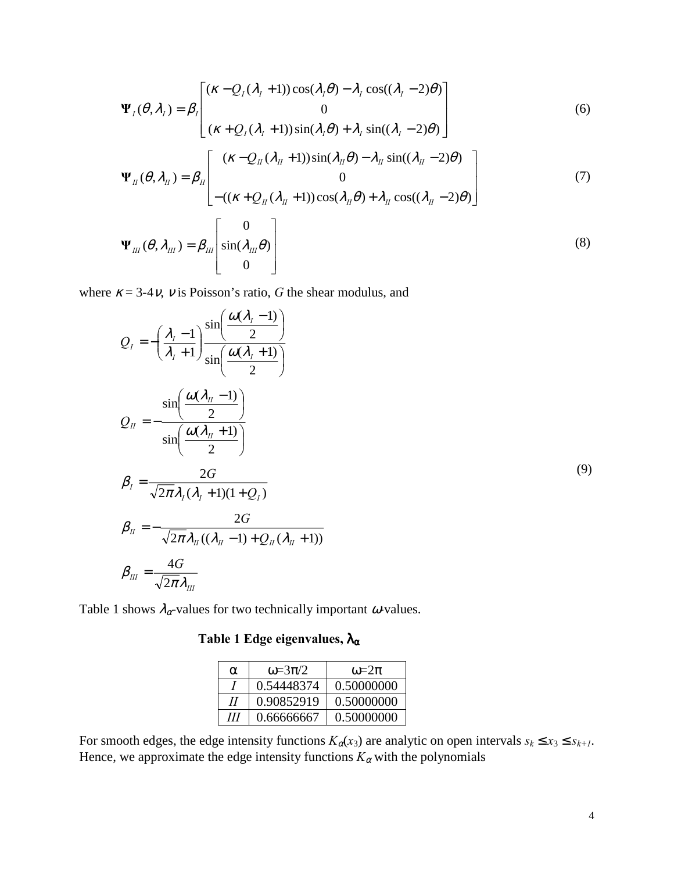<span id="page-3-0"></span>
$$
\Psi_{I}(\theta, \lambda_{I}) = \beta_{I} \begin{bmatrix} (\kappa - Q_{I}(\lambda_{I} + 1)) \cos(\lambda_{I} \theta) - \lambda_{I} \cos((\lambda_{I} - 2) \theta) \\ 0 \\ (\kappa + Q_{I}(\lambda_{I} + 1)) \sin(\lambda_{I} \theta) + \lambda_{I} \sin((\lambda_{I} - 2) \theta) \end{bmatrix}
$$
(6)

$$
\Psi_{II}(\theta, \lambda_{II}) = \beta_{II} \begin{bmatrix} (\kappa - Q_{II}(\lambda_{II} + 1)) \sin(\lambda_{II}\theta) - \lambda_{II} \sin((\lambda_{II} - 2)\theta) \\ 0 \\ -((\kappa + Q_{II}(\lambda_{II} + 1)) \cos(\lambda_{II}\theta) + \lambda_{II} \cos((\lambda_{II} - 2)\theta) \end{bmatrix}
$$
(7)  

$$
\Psi_{III}(\theta, \lambda_{III}) = \beta_{III} \begin{bmatrix} 0 \\ \sin(\lambda_{III}\theta) \\ 0 \end{bmatrix}
$$
(8)

where  $\kappa = 3-4v$ , *v* is Poisson's ratio, *G* the shear modulus, and

$$
Q_{I} = -\left(\frac{\lambda_{I} - 1}{\lambda_{I} + 1}\right) \frac{\sin\left(\frac{\omega(\lambda_{I} - 1)}{2}\right)}{\sin\left(\frac{\omega(\lambda_{II} - 1)}{2}\right)}
$$
  
\n
$$
Q_{II} = -\frac{\sin\left(\frac{\omega(\lambda_{II} - 1)}{2}\right)}{\sin\left(\frac{\omega(\lambda_{II} + 1)}{2}\right)}
$$
  
\n
$$
\beta_{I} = \frac{2G}{\sqrt{2\pi}\lambda_{I}(\lambda_{I} + 1)(1 + Q_{I})}
$$
  
\n
$$
\beta_{II} = -\frac{2G}{\sqrt{2\pi}\lambda_{II}((\lambda_{II} - 1) + Q_{II}(\lambda_{II} + 1))}
$$
  
\n
$$
\beta_{III} = \frac{4G}{\sqrt{2\pi}\lambda_{III}}
$$
\n(9)

Table 1 shows  $\lambda_{\alpha}$ -values for two technically important  $\omega$ -values.

# **Table 1 Edge eigenvalues,** λα

| α | $\omega = 3\pi/2$ | $\omega = 2\pi$ |
|---|-------------------|-----------------|
|   | 0.54448374        | 0.50000000      |
| Н | 0.90852919        | 0.50000000      |
| Ш | 0.66666667        | 0.50000000      |

For smooth edges, the edge intensity functions  $K_{\alpha}(x_3)$  are analytic on open intervals  $s_k \le x_3 \le s_{k+1}$ . Hence, we approximate the edge intensity functions  $K_{\alpha}$  with the polynomials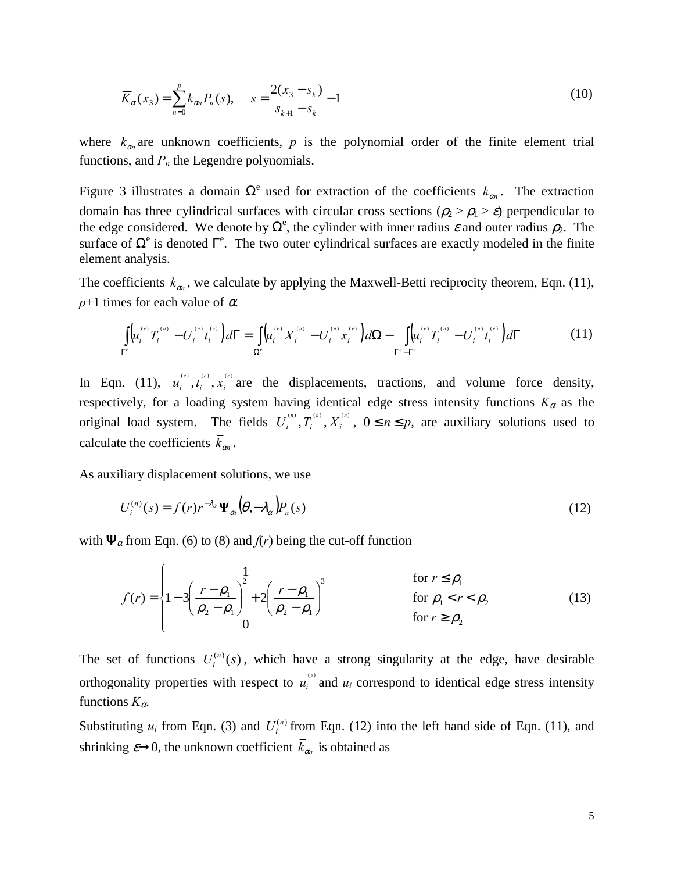<span id="page-4-0"></span>
$$
\overline{K}_{\alpha}(x_3) = \sum_{n=0}^{p} \overline{k}_{\alpha n} P_n(s), \qquad s = \frac{2(x_3 - s_k)}{s_{k+1} - s_k} - 1
$$
\n(10)

where  $\bar{k}_{\alpha n}$  are unknown coefficients, p is the polynomial order of the finite element trial functions, and  $P_n$  the Legendre polynomials.

[Figure 3](#page-15-0) illustrates a domain  $\Omega^e$  used for extraction of the coefficients  $\bar{k}_{\alpha n}$ . The extraction domain has three cylindrical surfaces with circular cross sections ( $\rho_2 > \rho_1 > \varepsilon$ ) perpendicular to the edge considered. We denote by  $\Omega^e$ , the cylinder with inner radius  $\varepsilon$  and outer radius  $\rho_2$ . The surface of  $\Omega^e$  is denoted  $\Gamma^e$ . The two outer cylindrical surfaces are exactly modeled in the finite element analysis.

The coefficients  $\bar{k}_{\alpha n}$ , we calculate by applying the Maxwell-Betti reciprocity theorem, Eqn. (11),  $p+1$  times for each value of  $\alpha$ .

$$
\int_{\Gamma^e} \left( u_i^{(e)} T_i^{(n)} - U_i^{(n)} t_i^{(e)} \right) d\Gamma = \int_{\Omega^e} \left( u_i^{(e)} X_i^{(n)} - U_i^{(n)} x_i^{(e)} \right) d\Omega - \int_{\Gamma^e - \Gamma^e} \left( u_i^{(e)} T_i^{(n)} - U_i^{(n)} t_i^{(e)} \right) d\Gamma \tag{11}
$$

In Eqn. (11),  $u_i^{(e)}$ ,  $t_i^{(e)}$ ,  $x_i^{(e)}$  are the displacements, tractions, and volume force density, respectively, for a loading system having identical edge stress intensity functions  $K_{\alpha}$  as the original load system. The fields  $U_i^{(n)}$ ,  $T_i^{(n)}$ ,  $X_i^{(n)}$ ,  $0 \le n \le p$ , are auxiliary solutions used to calculate the coefficients  $\bar{k}_{on}$ .

As auxiliary displacement solutions, we use

$$
U_i^{(n)}(s) = f(r)r^{-\lambda_\alpha} \Psi_{\alpha i}(\theta, -\lambda_\alpha) P_n(s)
$$
\n(12)

with  $\Psi_{\alpha}$  from Eqn. [\(6\)](#page-3-0) to [\(8\)](#page-3-0) and  $f(r)$  being the cut-off function

$$
f(r) = \begin{cases} \n1 & \text{for } r \le \rho_1 \\ \n1 - 3\left(\frac{r - \rho_1}{\rho_2 - \rho_1}\right)^2 + 2\left(\frac{r - \rho_1}{\rho_2 - \rho_1}\right)^3 & \text{for } \rho_1 < r < \rho_2 \\ \n0 & \text{for } r \ge \rho_2 \n\end{cases} \tag{13}
$$

The set of functions  $U_i^{(n)}(s)$ , which have a strong singularity at the edge, have desirable orthogonality properties with respect to  $u_i^{(e)}$  and  $u_i$  correspond to identical edge stress intensity functions  $K_{\alpha}$ .

Substituting  $u_i$  from Eqn. [\(3\)](#page-2-0) and  $U_i^{(n)}$  from Eqn. (12) into the left hand side of Eqn. (11), and shrinking  $\varepsilon \rightarrow 0$ , the unknown coefficient  $\overline{k}_{\alpha}$  is obtained as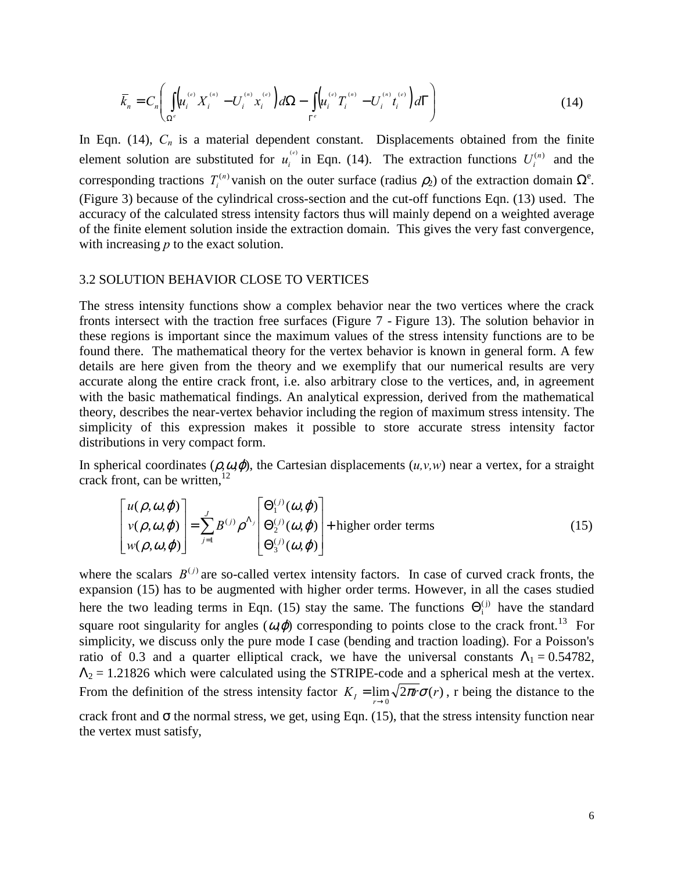<span id="page-5-0"></span>
$$
\bar{k}_n = C_n \left( \int_{\Omega^e} (u_i^{(e)} X_i^{(n)} - U_i^{(n)} x_i^{(e)}) d\Omega - \int_{\Gamma^e} (u_i^{(e)} T_i^{(n)} - U_i^{(n)} t_i^{(e)}) d\Gamma \right)
$$
(14)

In Eqn.  $(14)$ ,  $C_n$  is a material dependent constant. Displacements obtained from the finite element solution are substituted for  $u_i^{(e)}$  in Eqn. (14). The extraction functions  $U_i^{(n)}$  and the corresponding tractions  $T_i^{(n)}$  vanish on the outer surface (radius  $\rho_2$ ) of the extraction domain  $\Omega^e$ . [\(Figure 3\)](#page-15-0) because of the cylindrical cross-section and the cut-off functions Eqn. [\(13\)](#page-4-0) used. The accuracy of the calculated stress intensity factors thus will mainly depend on a weighted average of the finite element solution inside the extraction domain. This gives the very fast convergence, with increasing *p* to the exact solution.

#### 3.2 SOLUTION BEHAVIOR CLOSE TO VERTICES

The stress intensity functions show a complex behavior near the two vertices where the crack fronts intersect with the traction free surfaces [\(Figure 7](#page-16-0) - [Figure 13\)](#page-21-0). The solution behavior in these regions is important since the maximum values of the stress intensity functions are to be found there. The mathematical theory for the vertex behavior is known in general form. A few details are here given from the theory and we exemplify that our numerical results are very accurate along the entire crack front, i.e. also arbitrary close to the vertices, and, in agreement with the basic mathematical findings. An analytical expression, derived from the mathematical theory, describes the near-vertex behavior including the region of maximum stress intensity. The simplicity of this expression makes it possible to store accurate stress intensity factor distributions in very compact form.

In spherical coordinates  $(\rho, \omega, \varphi)$ , the Cartesian displacements  $(u, v, w)$  near a vertex, for a straight crack front, can be written,  $12$ 

$$
\begin{bmatrix} u(\rho, \omega, \varphi) \\ v(\rho, \omega, \varphi) \\ w(\rho, \omega, \varphi) \end{bmatrix} = \sum_{j=1}^{J} B^{(j)} \rho^{\Lambda_j} \begin{bmatrix} \Theta_1^{(j)}(\omega, \varphi) \\ \Theta_2^{(j)}(\omega, \varphi) \\ \Theta_3^{(j)}(\omega, \varphi) \end{bmatrix} + \text{higher order terms}
$$
(15)

where the scalars  $B^{(j)}$  are so-called vertex intensity factors. In case of curved crack fronts, the expansion (15) has to be augmented with higher order terms. However, in all the cases studied here the two leading terms in Eqn. (15) stay the same. The functions  $\Theta_i^{(j)}$  have the standard square root singularity for angles  $(\omega, \varphi)$  corresponding to points close to the crack front.<sup>13</sup> For simplicity, we discuss only the pure mode I case (bending and traction loading). For a Poisson's ratio of 0.3 and a quarter elliptical crack, we have the universal constants  $\Lambda_1 = 0.54782$ ,  $\Lambda_2 = 1.21826$  which were calculated using the STRIPE-code and a spherical mesh at the vertex. From the definition of the stress intensity factor  $K_I = \lim_{r \to 0} \sqrt{2\pi r \sigma(r)}$ , r being the distance to the crack front and  $\sigma$  the normal stress, we get, using Eqn. (15), that the stress intensity function near the vertex must satisfy,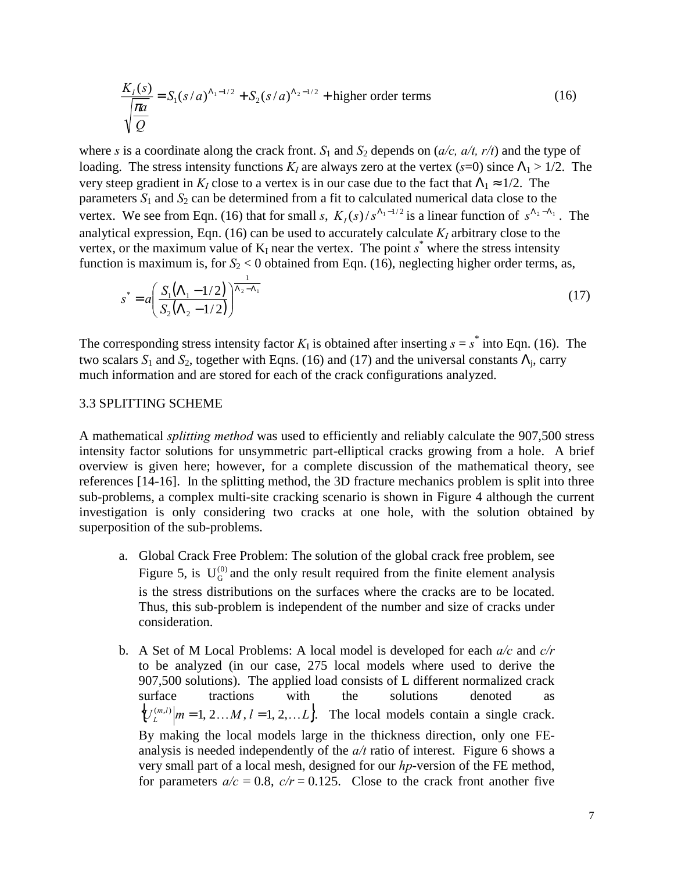<span id="page-6-0"></span>
$$
\frac{K_I(s)}{\sqrt{\frac{\pi a}{Q}}} = S_1(s/a)^{\Lambda_1 - 1/2} + S_2(s/a)^{\Lambda_2 - 1/2} + \text{higher order terms}
$$
\n(16)

where *s* is a coordinate along the crack front.  $S_1$  and  $S_2$  depends on ( $a/c$ ,  $a/t$ ,  $r/t$ ) and the type of loading. The stress intensity functions  $K_I$  are always zero at the vertex ( $s=0$ ) since  $\Lambda_1 > 1/2$ . The very steep gradient in  $K_I$  close to a vertex is in our case due to the fact that  $\Lambda_1 \approx 1/2$ . The parameters  $S_1$  and  $S_2$  can be determined from a fit to calculated numerical data close to the vertex. We see from Eqn. (16) that for small *s*,  $K_1(s)/s^{\Lambda_1-1/2}$  is a linear function of  $s^{\Lambda_2-\Lambda_1}$ . The analytical expression, Eqn. (16) can be used to accurately calculate  $K_I$  arbitrary close to the vertex, or the maximum value of  $K_I$  near the vertex. The point  $s^*$  where the stress intensity function is maximum is, for  $S_2 < 0$  obtained from Eqn. (16), neglecting higher order terms, as,

$$
s^* = a \left( \frac{S_1 (\Lambda_1 - 1/2)}{S_2 (\Lambda_2 - 1/2)} \right)^{\frac{1}{\Lambda_2 - \Lambda_1}}
$$
(17)

The corresponding stress intensity factor  $K_I$  is obtained after inserting  $s = s^*$  into Eqn. (16). The two scalars  $S_1$  and  $S_2$ , together with Eqns. (16) and (17) and the universal constants  $\Lambda_i$ , carry much information and are stored for each of the crack configurations analyzed.

#### 3.3 SPLITTING SCHEME

A mathematical *splitting method* was used to efficiently and reliably calculate the 907,500 stress intensity factor solutions for unsymmetric part-elliptical cracks growing from a hole. A brief overview is given here; however, for a complete discussion of the mathematical theory, see references [[14-16\]](#page-14-0). In the splitting method, the 3D fracture mechanics problem is split into three sub-problems, a complex multi-site cracking scenario is shown in [Figure 4](#page-15-0) although the current investigation is only considering two cracks at one hole, with the solution obtained by superposition of the sub-problems.

- a. Global Crack Free Problem: The solution of the global crack free problem, see [Figure 5,](#page-15-0) is  $U_G^{(0)}$  and the only result required from the finite element analysis is the stress distributions on the surfaces where the cracks are to be located. Thus, this sub-problem is independent of the number and size of cracks under consideration.
- b. A Set of M Local Problems: A local model is developed for each *a/c* and *c/r* to be analyzed (in our case, 275 local models where used to derive the 907,500 solutions). The applied load consists of L different normalized crack surface tractions with the solutions denoted as  ${U_L^{(m,l)}}|m=1, 2, \ldots M, l=1, 2, \ldots L$ . The local models contain a single crack. By making the local models large in the thickness direction, only one FEanalysis is needed independently of the *a/t* ratio of interest. [Figure 6](#page-16-0) shows a very small part of a local mesh, designed for our *hp*-version of the FE method, for parameters  $a/c = 0.8$ ,  $c/r = 0.125$ . Close to the crack front another five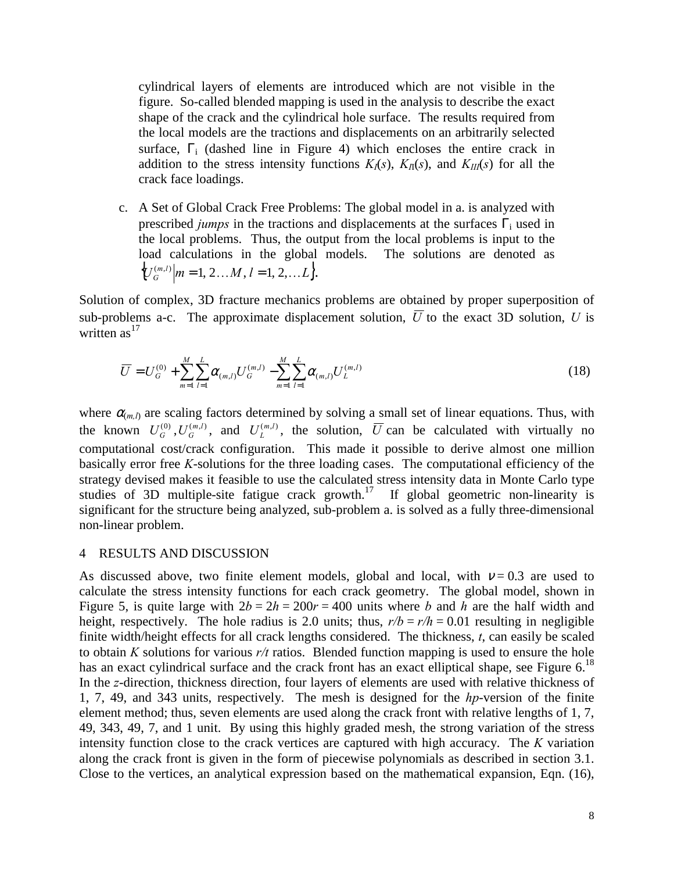<span id="page-7-0"></span>cylindrical layers of elements are introduced which are not visible in the figure. So-called blended mapping is used in the analysis to describe the exact shape of the crack and the cylindrical hole surface. The results required from the local models are the tractions and displacements on an arbitrarily selected surface,  $\Gamma_i$  (dashed line in [Figure 4\)](#page-15-0) which encloses the entire crack in addition to the stress intensity functions  $K_I(s)$ ,  $K_{II}(s)$ , and  $K_{III}(s)$  for all the crack face loadings.

c. A Set of Global Crack Free Problems: The global model in a. is analyzed with prescribed *jumps* in the tractions and displacements at the surfaces  $\Gamma_i$  used in the local problems. Thus, the output from the local problems is input to the load calculations in the global models. The solutions are denoted as  $\{U_G^{(m,l)}|m=1, 2, \ldots M, l=1, 2, \ldots L\}.$ 

Solution of complex, 3D fracture mechanics problems are obtained by proper superposition of sub-problems a-c. The approximate displacement solution,  $\overline{U}$  to the exact 3D solution,  $U$  is written  $as<sup>17</sup>$  $as<sup>17</sup>$  $as<sup>17</sup>$ 

$$
\overline{U} = U_G^{(0)} + \sum_{m=1}^{M} \sum_{l=1}^{L} \alpha_{(m,l)} U_G^{(m,l)} - \sum_{m=1}^{M} \sum_{l=1}^{L} \alpha_{(m,l)} U_L^{(m,l)}
$$
(18)

where  $\alpha_{m,l}$  are scaling factors determined by solving a small set of linear equations. Thus, with the known  $U_G^{(0)}$ ,  $U_G^{(m,l)}$ , and  $U_L^{(m,l)}$ , the solution,  $\overline{U}$  can be calculated with virtually no computational cost/crack configuration. This made it possible to derive almost one million basically error free *K*-solutions for the three loading cases. The computational efficiency of the strategy devised makes it feasible to use the calculated stress intensity data in Monte Carlo type studies of 3D multiple-site fatigue crack growth.<sup>17</sup> If global geometric non-linearity is significant for the structure being analyzed, sub-problem a. is solved as a fully three-dimensional non-linear problem.

#### 4 RESULTS AND DISCUSSION

As discussed above, two finite element models, global and local, with  $v = 0.3$  are used to calculate the stress intensity functions for each crack geometry. The global model, shown in [Figure 5,](#page-15-0) is quite large with  $2b = 2h = 200r = 400$  units where *b* and *h* are the half width and height, respectively. The hole radius is 2.0 units; thus,  $r/b = r/h = 0.01$  resulting in negligible finite width/height effects for all crack lengths considered. The thickness, *t*, can easily be scaled to obtain *K* solutions for various *r/t* ratios. Blended function mapping is used to ensure the hole has an exact cylindrical surface and the crack front has an exact elliptical shape, see Figure  $6$ .<sup>18</sup> In the *z*-direction, thickness direction, four layers of elements are used with relative thickness of 1, 7, 49, and 343 units, respectively. The mesh is designed for the *hp*-version of the finite element method; thus, seven elements are used along the crack front with relative lengths of 1, 7, 49, 343, 49, 7, and 1 unit. By using this highly graded mesh, the strong variation of the stress intensity function close to the crack vertices are captured with high accuracy. The *K* variation along the crack front is given in the form of piecewise polynomials as described in section [3.1.](#page-2-0) Close to the vertices, an analytical expression based on the mathematical expansion, Eqn. [\(16\),](#page-6-0)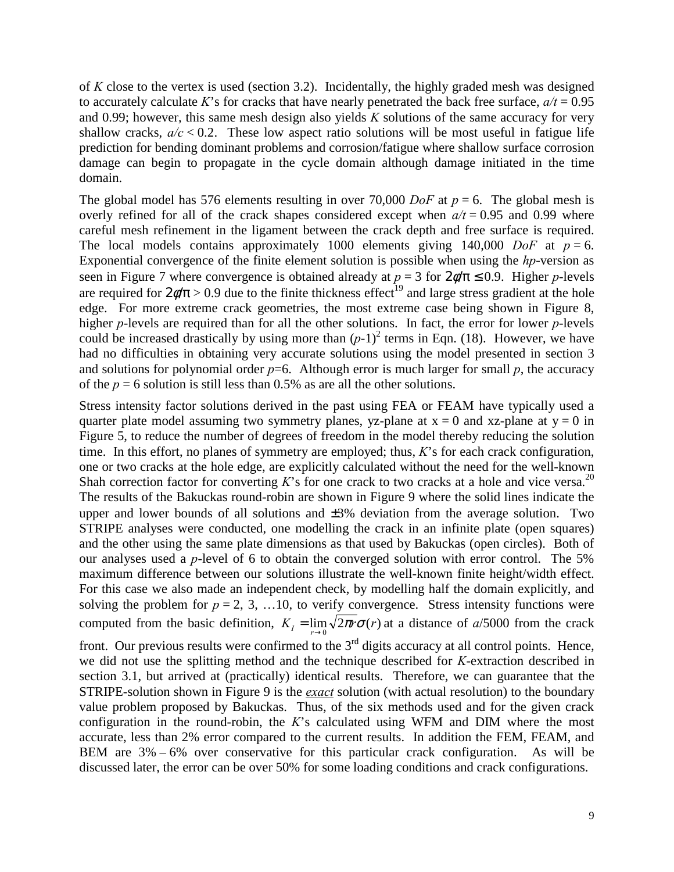of *K* close to the vertex is used (section [3.2\)](#page-5-0). Incidentally, the highly graded mesh was designed to accurately calculate *K*'s for cracks that have nearly penetrated the back free surface,  $a/t = 0.95$ and 0.99; however, this same mesh design also yields *K* solutions of the same accuracy for very shallow cracks,  $a/c < 0.2$ . These low aspect ratio solutions will be most useful in fatigue life prediction for bending dominant problems and corrosion/fatigue where shallow surface corrosion damage can begin to propagate in the cycle domain although damage initiated in the time domain.

The global model has 576 elements resulting in over 70,000 *DoF* at  $p = 6$ . The global mesh is overly refined for all of the crack shapes considered except when  $a/t = 0.95$  and 0.99 where careful mesh refinement in the ligament between the crack depth and free surface is required. The local models contains approximately 1000 elements giving 140,000 *DoF* at  $p = 6$ . Exponential convergence of the finite element solution is possible when using the *hp*-version as seen in [Figure 7 w](#page-16-0)here convergence is obtained already at  $p = 3$  for  $2\phi/\pi \le 0.9$ . Higher *p*-levels are required for  $2\phi/\pi > 0.9$  due to the finite thickness effect<sup>19</sup> and large stress gradient at the hole edge. For more extreme crack geometries, the most extreme case being shown in [Figure 8,](#page-17-0) higher *p*-levels are required than for all the other solutions. In fact, the error for lower *p*-levels could be increased drastically by using more than  $(p-1)^2$  terms in Eqn. [\(18\).](#page-7-0) However, we have had no difficulties in obtaining very accurate solutions using the model presented in section [3](#page-2-0)  and solutions for polynomial order  $p=6$ . Although error is much larger for small  $p$ , the accuracy of the  $p = 6$  solution is still less than 0.5% as are all the other solutions.

Stress intensity factor solutions derived in the past using FEA or FEAM have typically used a quarter plate model assuming two symmetry planes, yz-plane at  $x = 0$  and xz-plane at  $y = 0$  in [Figure 5,](#page-15-0) to reduce the number of degrees of freedom in the model thereby reducing the solution time. In this effort, no planes of symmetry are employed; thus, *K*'s for each crack configuration, one or two cracks at the hole edge, are explicitly calculated without the need for the well-known Shah correction factor for converting  $K$ 's for one crack to two cracks at a hole and vice versa.<sup>20</sup> The results of the Bakuckas round-robin are shown in [Figure 9](#page-17-0) where the solid lines indicate the upper and lower bounds of all solutions and  $\pm 3\%$  deviation from the average solution. Two STRIPE analyses were conducted, one modelling the crack in an infinite plate (open squares) and the other using the same plate dimensions as that used by Bakuckas (open circles). Both of our analyses used a *p*-level of 6 to obtain the converged solution with error control. The 5% maximum difference between our solutions illustrate the well-known finite height/width effect. For this case we also made an independent check, by modelling half the domain explicitly, and solving the problem for  $p = 2, 3, \ldots 10$ , to verify convergence. Stress intensity functions were computed from the basic definition,  $K_I = \lim_{r \to 0} \sqrt{2\pi r \sigma(r)}$  at a distance of *a*/5000 from the crack

front. Our previous results were confirmed to the  $3<sup>rd</sup>$  digits accuracy at all control points. Hence, we did not use the splitting method and the technique described for *K*-extraction described in section [3.1,](#page-2-0) but arrived at (practically) identical results. Therefore, we can guarantee that the STRIPE-solution shown in [Figure 9 i](#page-17-0)s the *exact* solution (with actual resolution) to the boundary value problem proposed by Bakuckas. Thus, of the six methods used and for the given crack configuration in the round-robin, the *K*'s calculated using WFM and DIM where the most accurate, less than 2% error compared to the current results. In addition the FEM, FEAM, and BEM are 3% – 6% over conservative for this particular crack configuration. As will be discussed later, the error can be over 50% for some loading conditions and crack configurations.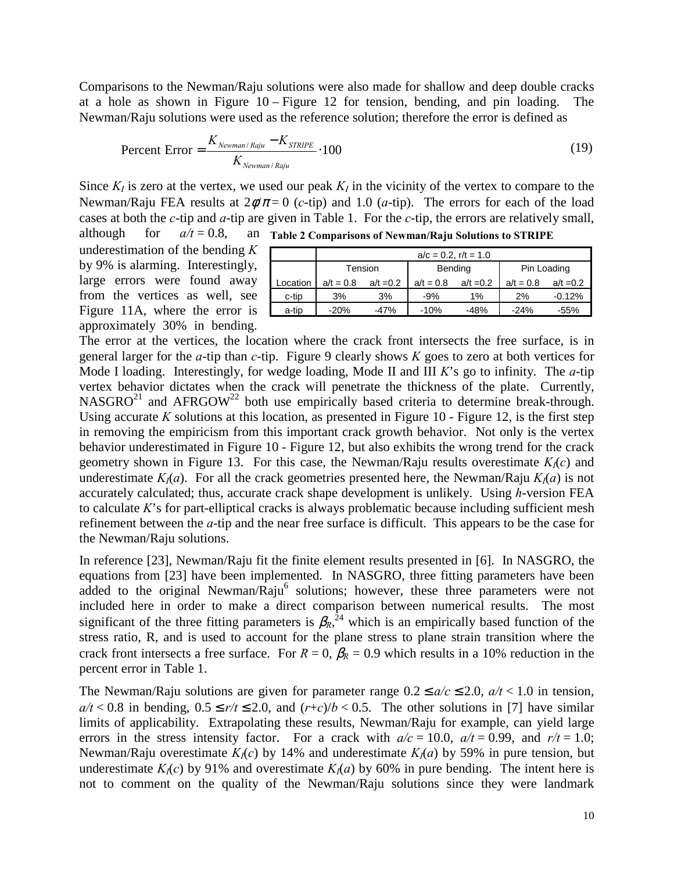Comparisons to the Newman/Raju solutions were also made for shallow and deep double cracks at a hole as shown in [Figure 10 –](#page-18-0) [Figure 12](#page-20-0) for tension, bending, and pin loading. The Newman/Raju solutions were used as the reference solution; therefore the error is defined as

Percent Error = 
$$
\frac{K_{Newman/Ray} - K_{STRIPE}}{K_{Newman/Ray}} \cdot 100
$$
 (19)

Since  $K_I$  is zero at the vertex, we used our peak  $K_I$  in the vicinity of the vertex to compare to the Newman/Raju FEA results at  $2\phi/\pi = 0$  (*c*-tip) and 1.0 (*a*-tip). The errors for each of the load cases at both the *c*-tip and *a*-tip are given in Table 1. For the *c*-tip, the errors are relatively small, although for  $a/t = 0.8$ , **Table 2 Comparisons of Newman/Raju Solutions to STRIPE** 

underestimation of the bending *K* by 9% is alarming. Interestingly, large errors were found away from the vertices as well, see [Figure 11A](#page-19-0), where the error is approximately 30% in bending.

|          | $a/c = 0.2$ , $r/t = 1.0$ |             |             |             |             |             |  |
|----------|---------------------------|-------------|-------------|-------------|-------------|-------------|--|
|          | Tension                   |             | Bending     |             | Pin Loading |             |  |
| Location | $a/t = 0.8$               | $a/t = 0.2$ | $a/t = 0.8$ | $a/t = 0.2$ | $a/t = 0.8$ | $a/t = 0.2$ |  |
| c-tip    | 3%                        | 3%          | $-9%$       | $1\%$       | 2%          | $-0.12%$    |  |
| a-tip    | $-20%$                    | $-47%$      | $-10%$      | $-48%$      | $-24%$      | $-55%$      |  |

The error at the vertices, the location where the crack front intersects the free surface, is in general larger for the *a*-tip than *c*-tip. [Figure 9](#page-17-0) clearly shows *K* goes to zero at both vertices for Mode I loading. Interestingly, for wedge loading, Mode II and III *K*'s go to infinity. The *a*-tip vertex behavior dictates when the crack will penetrate the thickness of the plate. Currently,  $NASGRO<sup>21</sup>$  and  $AFRGOW<sup>22</sup>$  both use empirically based criteria to determine break-through. Using accurate  $K$  solutions at this location, as presented in [Figure 10](#page-18-0) - [Figure 12,](#page-20-0) is the first step in removing the empiricism from this important crack growth behavior. Not only is the vertex behavior underestimated in [Figure 10 -](#page-18-0) [Figure 12,](#page-20-0) but also exhibits the wrong trend for the crack geometry shown in [Figure 13.](#page-21-0) For this case, the Newman/Raju results overestimate  $K<sub>1</sub>(c)$  and underestimate  $K_I(a)$ . For all the crack geometries presented here, the Newman/Raju  $K_I(a)$  is not accurately calculated; thus, accurate crack shape development is unlikely. Using *h*-version FEA to calculate *K*'s for part-elliptical cracks is always problematic because including sufficient mesh refinement between the *a*-tip and the near free surface is difficult. This appears to be the case for the Newman/Raju solutions.

In reference [[23\]](#page-14-0), Newman/Raju fit the finite element results presented in [[6\]](#page-1-0). In NASGRO, the equations from [23] have been implemented. In NASGRO, three fitting parameters have been added to the original Newman/Raju<sup>6</sup> solutions; however, these three parameters were not included here in order to make a direct comparison between numerical results. The most significant of the three fitting parameters is  $\beta_R$ <sup>24</sup>, which is an empirically based function of the stress ratio, R, and is used to account for the plane stress to plane strain transition where the crack front intersects a free surface. For  $R = 0$ ,  $\beta_R = 0.9$  which results in a 10% reduction in the percent error in Table 1.

The Newman/Raju solutions are given for parameter range  $0.2 \le a/c \le 2.0$ ,  $a/t < 1.0$  in tension,  $a/t < 0.8$  in bending,  $0.5 \le r/t \le 2.0$ , and  $(r+c)/b < 0.5$ . The other solutions in [[7\]](#page-1-0) have similar limits of applicability. Extrapolating these results, Newman/Raju for example, can yield large errors in the stress intensity factor. For a crack with  $a/c = 10.0$ ,  $a/t = 0.99$ , and  $r/t = 1.0$ ; Newman/Raju overestimate  $K_1(c)$  by 14% and underestimate  $K_1(a)$  by 59% in pure tension, but underestimate  $K_I(c)$  by 91% and overestimate  $K_I(a)$  by 60% in pure bending. The intent here is not to comment on the quality of the Newman/Raju solutions since they were landmark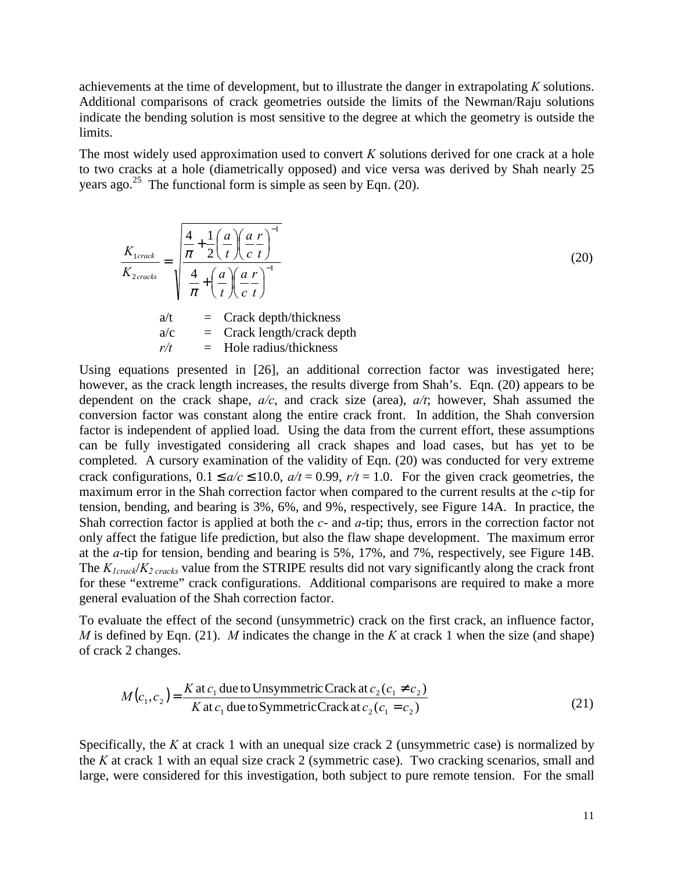achievements at the time of development, but to illustrate the danger in extrapolating *K* solutions. Additional comparisons of crack geometries outside the limits of the Newman/Raju solutions indicate the bending solution is most sensitive to the degree at which the geometry is outside the limits.

The most widely used approximation used to convert *K* solutions derived for one crack at a hole to two cracks at a hole (diametrically opposed) and vice versa was derived by Shah nearly 25 years ago.<sup>25</sup> The functional form is simple as seen by Eqn. (20).

$$
\frac{K_{1crack}}{K_{2crack}} = \sqrt{\frac{\frac{4}{\pi} + \frac{1}{2} \left(\frac{a}{t}\right) \left(\frac{a}{c} \frac{r}{t}\right)^{-1}}{\frac{4}{\pi} + \left(\frac{a}{t}\right) \left(\frac{a}{c} \frac{r}{t}\right)^{-1}}}
$$
\n
$$
a/t = \text{Crack depth/thickness}
$$
\n
$$
a/c = \text{Crack length/crack depth}
$$
\n
$$
r/t = \text{Hole radius/thickness}
$$

Using equations presented in [\[26\]](#page-14-0), an additional correction factor was investigated here; however, as the crack length increases, the results diverge from Shah's. Eqn. (20) appears to be dependent on the crack shape, *a/c*, and crack size (area), *a/t*; however, Shah assumed the conversion factor was constant along the entire crack front. In addition, the Shah conversion factor is independent of applied load. Using the data from the current effort, these assumptions can be fully investigated considering all crack shapes and load cases, but has yet to be completed. A cursory examination of the validity of Eqn. (20) was conducted for very extreme crack configurations,  $0.1 \le a/c \le 10.0$ ,  $a/t = 0.99$ ,  $r/t = 1.0$ . For the given crack geometries, the maximum error in the Shah correction factor when compared to the current results at the *c*-tip for tension, bending, and bearing is 3%, 6%, and 9%, respectively, see [Figure 14A](#page-22-0). In practice, the Shah correction factor is applied at both the *c*- and *a*-tip; thus, errors in the correction factor not only affect the fatigue life prediction, but also the flaw shape development. The maximum error at the *a*-tip for tension, bending and bearing is 5%, 17%, and 7%, respectively, see [Figure 14B](#page-22-0). The  $K_{Icrack}/K_2$  cracks value from the STRIPE results did not vary significantly along the crack front for these "extreme" crack configurations. Additional comparisons are required to make a more general evaluation of the Shah correction factor.

To evaluate the effect of the second (unsymmetric) crack on the first crack, an influence factor, *M* is defined by Eqn. (21). *M* indicates the change in the *K* at crack 1 when the size (and shape) of crack 2 changes.

$$
M(c_1, c_2) = \frac{K \text{ at } c_1 \text{ due to Unsymmetric Crack at } c_2(c_1 \neq c_2)}{K \text{ at } c_1 \text{ due to Symmetric Crack at } c_2(c_1 = c_2)}
$$
(21)

Specifically, the *K* at crack 1 with an unequal size crack 2 (unsymmetric case) is normalized by the *K* at crack 1 with an equal size crack 2 (symmetric case). Two cracking scenarios, small and large, were considered for this investigation, both subject to pure remote tension. For the small

(20)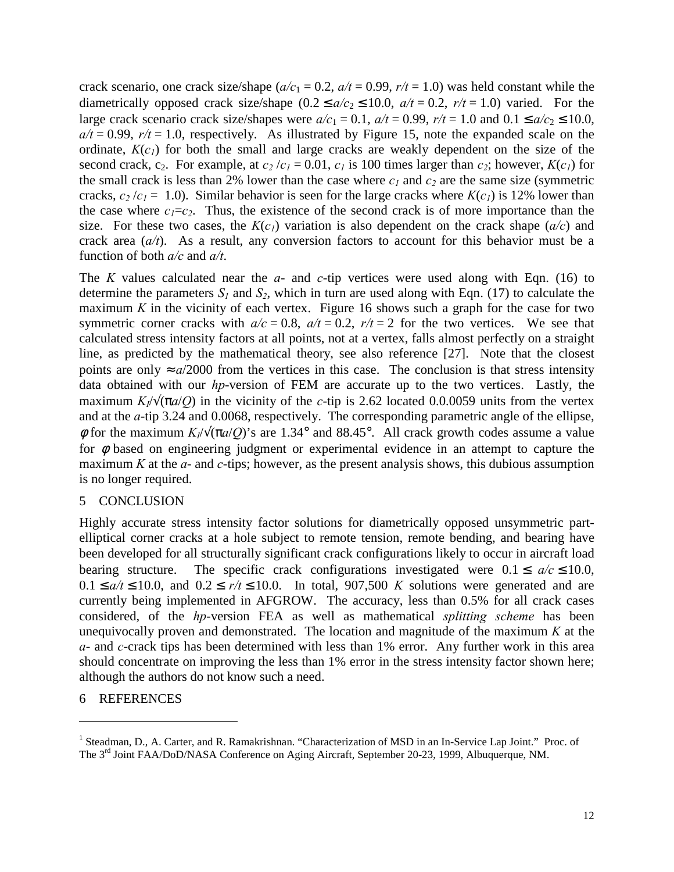crack scenario, one crack size/shape ( $a/c_1 = 0.2$ ,  $a/t = 0.99$ ,  $r/t = 1.0$ ) was held constant while the diametrically opposed crack size/shape  $(0.2 \le a/c_2 \le 10.0, a/t = 0.2, r/t = 1.0)$  varied. For the large crack scenario crack size/shapes were  $a/c_1 = 0.1$ ,  $a/t = 0.99$ ,  $r/t = 1.0$  and  $0.1 \le a/c_2 \le 10.0$ ,  $a/t = 0.99$ ,  $r/t = 1.0$ , respectively. As illustrated by Figure 15, note the expanded scale on the ordinate,  $K(c_i)$  for both the small and large cracks [are weakl](#page-23-0)y dependent on the size of the second crack, c<sub>2</sub>. For example, at  $c_2/c_1 = 0.01$ ,  $c_1$  is 100 times larger than  $c_2$ ; however,  $K(c_1)$  for the small crack is less than 2% lower than the case where  $c_l$  and  $c_2$  are the same size (symmetric cracks,  $c_2/c_1 = 1.0$ ). Similar behavior is seen for the large cracks where  $K(c_1)$  is 12% lower than the case where  $c_1 = c_2$ . Thus, the existence of the second crack is of more importance than the size. For these two cases, the  $K(c_i)$  variation is also dependent on the crack shape  $(a/c)$  and crack area (*a/t*). As a result, any conversion factors to account for this behavior must be a function of both *a/c* and *a/t*.

The *K* values calculated near the *a*- and *c*-tip vertices were used along with Eqn. [\(16\)](#page-6-0) to determine the parameters  $S_l$  and  $S_2$ , which in turn are used along with Eqn. [\(17\)](#page-6-0) to calculate the maximum  $K$  in the vicinity of each vertex. [Figure 16](#page-24-0) shows such a graph for the case for two symmetric corner cracks with  $a/c = 0.8$ ,  $a/t = 0.2$ ,  $r/t = 2$  for the two vertices. We see that calculated stress intensity factors at all points, not at a vertex, falls almost perfectly on a straight line, as predicted by the mathematical theory, see also reference [\[27\]](#page-14-0). Note that the closest points are only  $\approx a/2000$  from the vertices in this case. The conclusion is that stress intensity data obtained with our *hp*-version of FEM are accurate up to the two vertices. Lastly, the maximum  $K/\sqrt{(\pi a/Q)}$  in the vicinity of the *c*-tip is 2.62 located 0.0.0059 units from the vertex and at the *a*-tip 3.24 and 0.0068, respectively. The corresponding parametric angle of the ellipse, φ for the maximum *KI*/√(π*a*/*Q*)'s are 1.34° and 88.45°. All crack growth codes assume a value for  $\phi$  based on engineering judgment or experimental evidence in an attempt to capture the maximum *K* at the *a*- and *c*-tips; however, as the present analysis shows, this dubious assumption is no longer required.

## 5 CONCLUSION

Highly accurate stress intensity factor solutions for diametrically opposed unsymmetric partelliptical corner cracks at a hole subject to remote tension, remote bending, and bearing have been developed for all structurally significant crack configurations likely to occur in aircraft load bearing structure. The specific crack configurations investigated were  $0.1 \le a/c \le 10.0$ ,  $0.1 \le a/t \le 10.0$ , and  $0.2 \le r/t \le 10.0$ . In total, 907,500 *K* solutions were generated and are currently being implemented in AFGROW. The accuracy, less than 0.5% for all crack cases considered, of the *hp*-version FEA as well as mathematical *splitting scheme* has been unequivocally proven and demonstrated. The location and magnitude of the maximum *K* at the *a*- and *c*-crack tips has been determined with less than 1% error. Any further work in this area should concentrate on improving the less than 1% error in the stress intensity factor shown here; although the authors do not know such a need.

## 6 REFERENCES

 $\overline{a}$ 

<sup>&</sup>lt;sup>1</sup> Steadman, D., A. Carter, and R. Ramakrishnan. "Characterization of MSD in an In-Service Lap Joint." Proc. of The 3rd Joint FAA/DoD/NASA Conference on Aging Aircraft, September 20-23, 1999, Albuquerque, NM.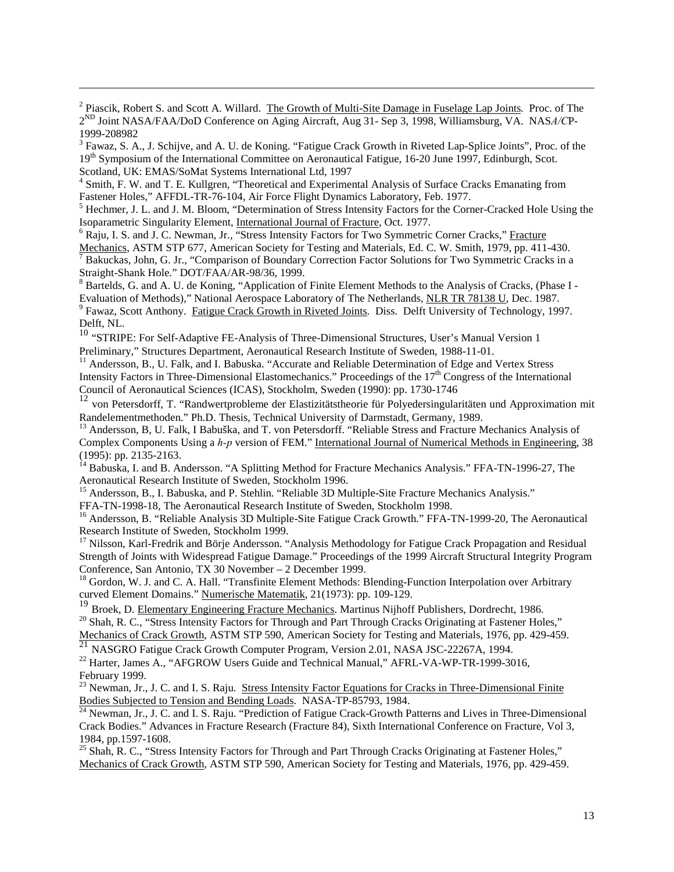<sup>2</sup> Piascik, Robert S. and Scott A. Willard. The Growth of Multi-Site Damage in Fuselage Lap Joints. Proc. of The 2ND Joint NASA/FAA/DoD Conference on Aging Aircraft, Aug 31- Sep 3, 1998, Williamsburg, VA. NAS*A/C*P-1999-208982

 $\overline{a}$ 

<sup>3</sup> Fawaz, S. A., J. Schijve, and A. U. de Koning. "Fatigue Crack Growth in Riveted Lap-Splice Joints", Proc. of the 19<sup>th</sup> Symposium of the International Committee on Aeronautical Fatigue, 16-20 June 1997, Edinburgh, Scot. Scotland, UK: EMAS/SoMat Systems International Ltd, 1997

<sup>4</sup> Smith, F. W. and T. E. Kullgren, "Theoretical and Experimental Analysis of Surface Cracks Emanating from Fastener Holes," AFFDL-TR-76-104, Air Force Flight Dynamics Laboratory, Feb. 1977.

<sup>5</sup> Hechmer, J. L. and J. M. Bloom, "Determination of Stress Intensity Factors for the Corner-Cracked Hole Using the Isoparametric Singularity Element, International Journal of Fracture, Oct. 1977.

<sup>6</sup> Raju, I. S. and J. C. Newman, Jr., "Stress Intensity Factors for Two Symmetric Corner Cracks," Fracture

Mechanics, ASTM STP 677, American Society for Testing and Materials, Ed. C. W. Smith, 1979, pp. 411-430. 7 <sup>7</sup> Bakuckas, John, G. Jr., "Comparison of Boundary Correction Factor Solutions for Two Symmetric Cracks in a Straight-Shank Hole." DOT/FAA/AR-98/36, 1999.

<sup>8</sup> Bartelds, G. and A. U. de Koning, "Application of Finite Element Methods to the Analysis of Cracks, (Phase I -Evaluation of Methods)," National Aerospace Laboratory of The Netherlands, NLR TR 78138 U, Dec. 1987. <sup>9</sup> Fawaz, Scott Anthony. Fatigue Crack Growth in Riveted Joints. Diss. Delft University of Technology, 1997. Delft, NL.

<sup>10</sup> "STRIPE: For Self-Adaptive FE-Analysis of Three-Dimensional Structures, User's Manual Version 1 Preliminary," Structures Department, Aeronautical Research Institute of Sweden, 1988-11-01.

<sup>11</sup> Andersson, B., U. Falk, and I. Babuska. "Accurate and Reliable Determination of Edge and Vertex Stress Intensity Factors in Three-Dimensional Elastomechanics." Proceedings of the 17<sup>th</sup> Congress of the International Council of Aeronautical Sciences (ICAS), Stockholm, Sweden (1990): pp. 1730-1746

<sup>12</sup> von Petersdorff, T. "Randwertprobleme der Elastizitätstheorie für Polyedersingularitäten und Approximation mit Randelementmethoden." Ph.D. Thesis, Technical University of Darmstadt, Germany, 1989.

<sup>13</sup> Andersson, B, U. Falk, I Babuška, and T. von Petersdorff. "Reliable Stress and Fracture Mechanics Analysis of Complex Components Using a *h-p* version of FEM." International Journal of Numerical Methods in Engineering. 38 (1995): pp. 2135-2163.

<sup>14</sup> Babuska, I. and B. Andersson. "A Splitting Method for Fracture Mechanics Analysis." FFA-TN-1996-27, The Aeronautical Research Institute of Sweden, Stockholm 1996.

<sup>15</sup> Andersson, B., I. Babuska, and P. Stehlin. "Reliable 3D Multiple-Site Fracture Mechanics Analysis."

FFA-TN-1998-18, The Aeronautical Research Institute of Sweden, Stockholm 1998.

<sup>16</sup> Andersson, B. "Reliable Analysis 3D Multiple-Site Fatigue Crack Growth." FFA-TN-1999-20, The Aeronautical Research Institute of Sweden, Stockholm 1999.

<sup>17</sup> Nilsson, Karl-Fredrik and Börje Andersson. "Analysis Methodology for Fatigue Crack Propagation and Residual Strength of Joints with Widespread Fatigue Damage." Proceedings of the 1999 Aircraft Structural Integrity Program Conference, San Antonio, TX 30 November – 2 December 1999.

<sup>18</sup> Gordon, W. J. and C. A. Hall. "Transfinite Element Methods: Blending-Function Interpolation over Arbitrary curved Element Domains." Numerische Matematik, 21(1973): pp. 109-129.

<sup>19</sup> Broek, D. <u>Elementary Engineering Fracture Mechanics</u>. Martinus Nijhoff Publishers, Dordrecht, 1986.<br><sup>20</sup> Shah, R. C., "Stress Intensity Factors for Through and Part Through Cracks Originating at Fastener Holes," <sup>20</sup> Shah, R. C., "Stress Intensity Factors for Through and Part Through Cracks Originating at Fastener Holes," Mechanics of Crack Growth, ASTM STP 590, American Society for Testing and Materials, 1976, pp. 429-459.

<sup>21</sup> NASGRO Fatigue Crack Growth Computer Program, Version 2.01, NASA JSC-22267A, 1994.

<sup>22</sup> Harter, James A., "AFGROW Users Guide and Technical Manual," AFRL-VA-WP-TR-1999-3016, February 1999.

<sup>23</sup> Newman, Jr., J. C. and I. S. Raju. Stress Intensity Factor Equations for Cracks in Three-Dimensional Finite

Bodies Subjected to Tension and Bending Loads. NASA-TP-85793, 1984.<br><sup>24</sup> Newman, Jr., J. C. and I. S. Raju. "Prediction of Fatigue Crack-Growth Patterns and Lives in Three-Dimensional Crack Bodies." Advances in Fracture Research (Fracture 84), Sixth International Conference on Fracture, Vol 3, 1984, pp.1597-1608.

<sup>25</sup> Shah, R. C., "Stress Intensity Factors for Through and Part Through Cracks Originating at Fastener Holes," Mechanics of Crack Growth, ASTM STP 590, American Society for Testing and Materials, 1976, pp. 429-459.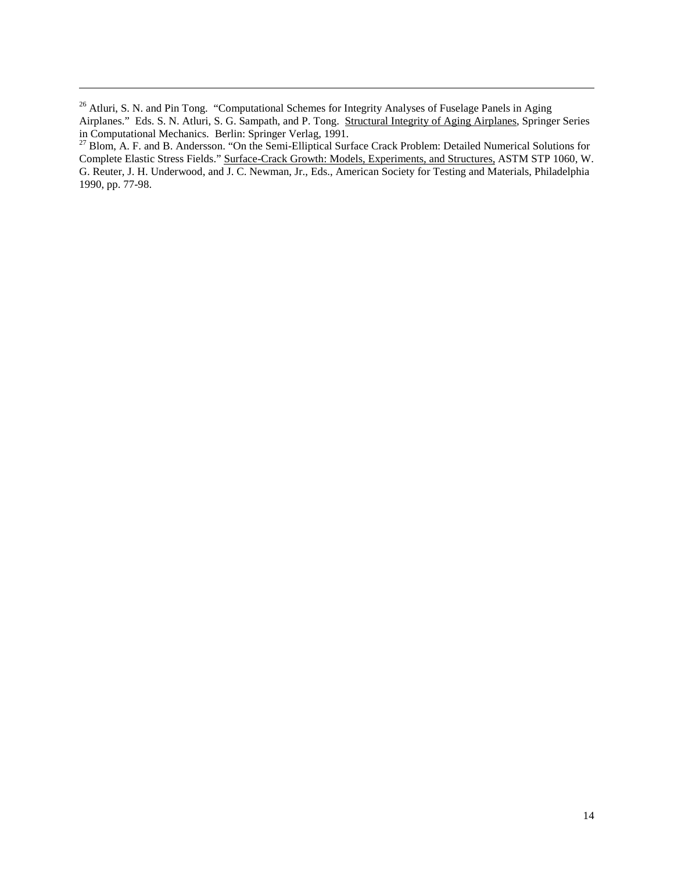<sup>26</sup> Atluri, S. N. and Pin Tong. "Computational Schemes for Integrity Analyses of Fuselage Panels in Aging Airplanes." Eds. S. N. Atluri, S. G. Sampath, and P. Tong. Structural Integrity of Aging Airplanes, Springer Series in Computational Mechanics. Berlin: Springer Verlag, 1991.

 $\overline{a}$ 

<sup>27</sup> Blom, A. F. and B. Andersson. "On the Semi-Elliptical Surface Crack Problem: Detailed Numerical Solutions for Complete Elastic Stress Fields." Surface-Crack Growth: Models, Experiments, and Structures, ASTM STP 1060, W. G. Reuter, J. H. Underwood, and J. C. Newman, Jr., Eds., American Society for Testing and Materials, Philadelphia 1990, pp. 77-98.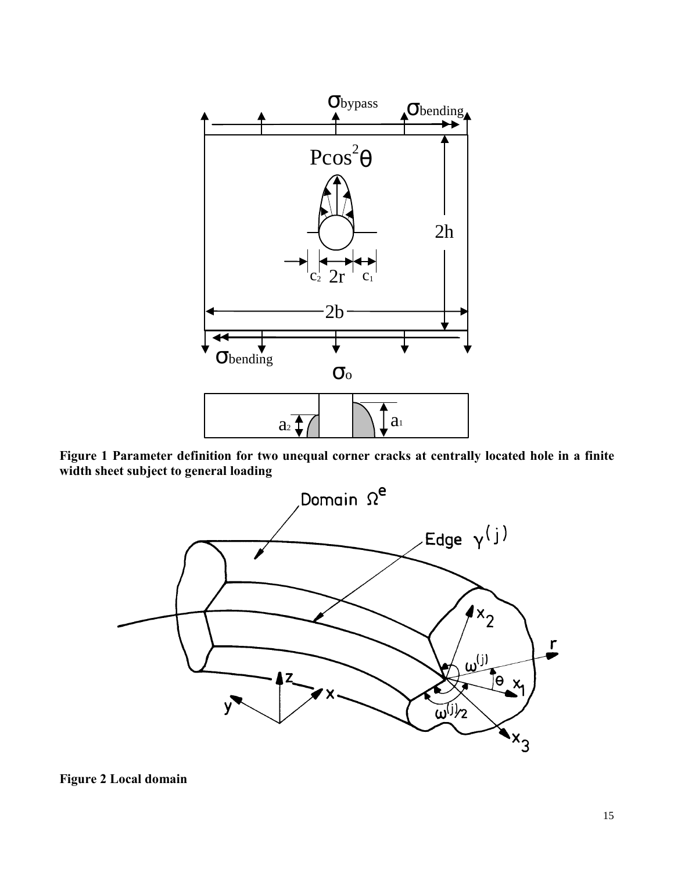<span id="page-14-0"></span>

**Figure 1 Parameter definition for two unequal corner cracks at centrally located hole in a finite width sheet subject to general loading** 

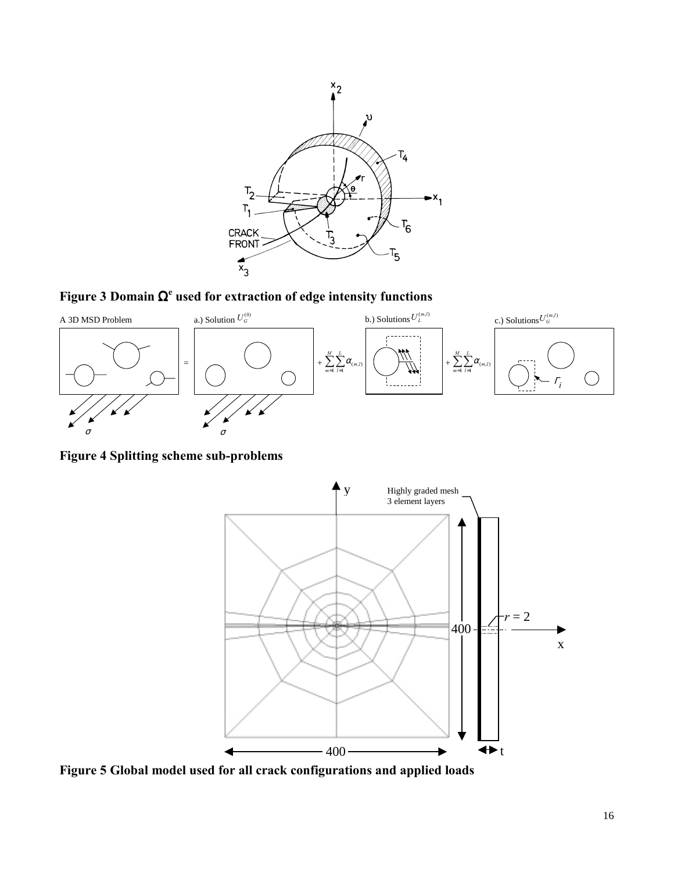<span id="page-15-0"></span>

**Figure 3 Domain** Ω**<sup>e</sup> used for extraction of edge intensity functions** 



**Figure 4 Splitting scheme sub-problems** 



**Figure 5 Global model used for all crack configurations and applied loads**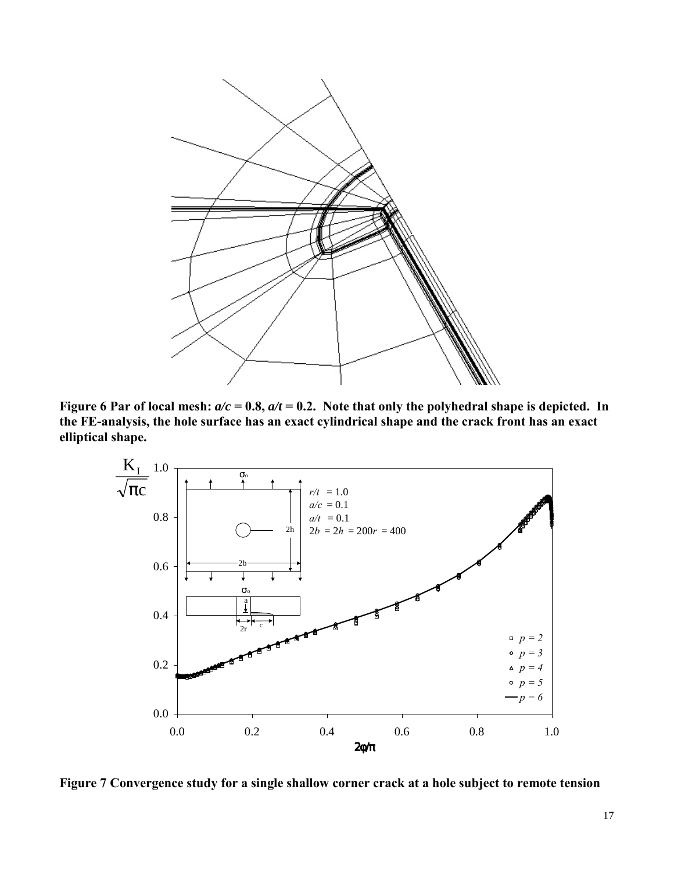<span id="page-16-0"></span>

**Figure 6 Par of local mesh:**  $a/c = 0.8$ ,  $a/t = 0.2$ . Note that only the polyhedral shape is depicted. In **the FE-analysis, the hole surface has an exact cylindrical shape and the crack front has an exact elliptical shape.** 



**Figure 7 Convergence study for a single shallow corner crack at a hole subject to remote tension**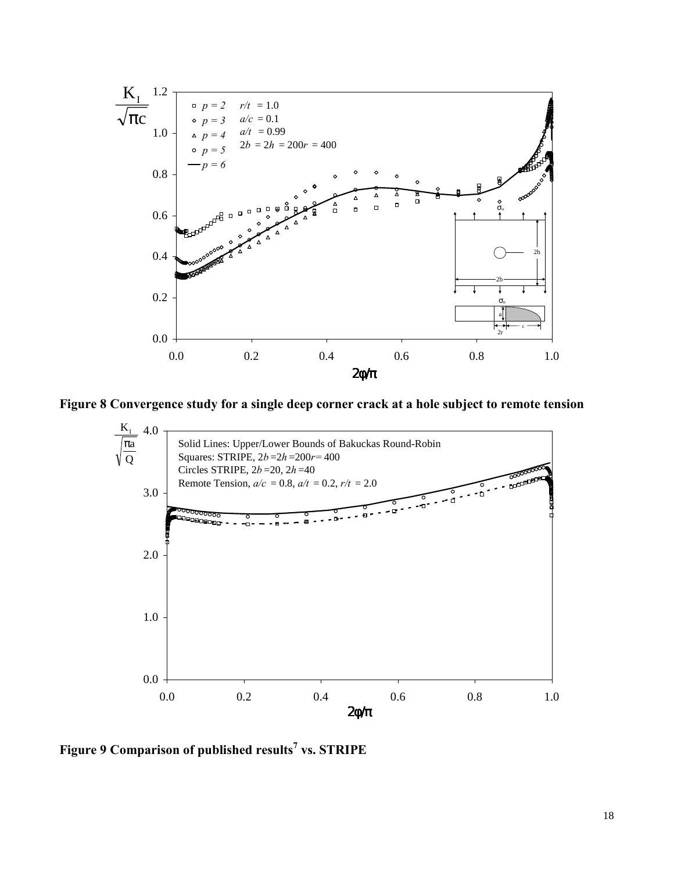<span id="page-17-0"></span>

**Figure 8 Convergence study for a single deep corner crack at a hole subject to remote tension** 



**Figure 9 Comparison of published results<sup>7</sup> vs. STRIPE**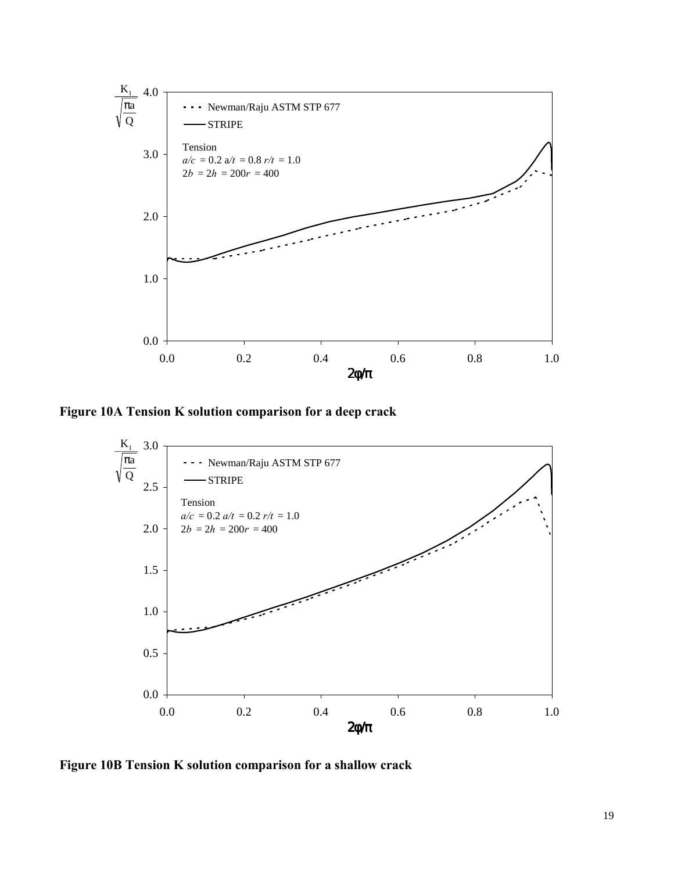<span id="page-18-0"></span>

**Figure 10A Tension K solution comparison for a deep crack** 



**Figure 10B Tension K solution comparison for a shallow crack**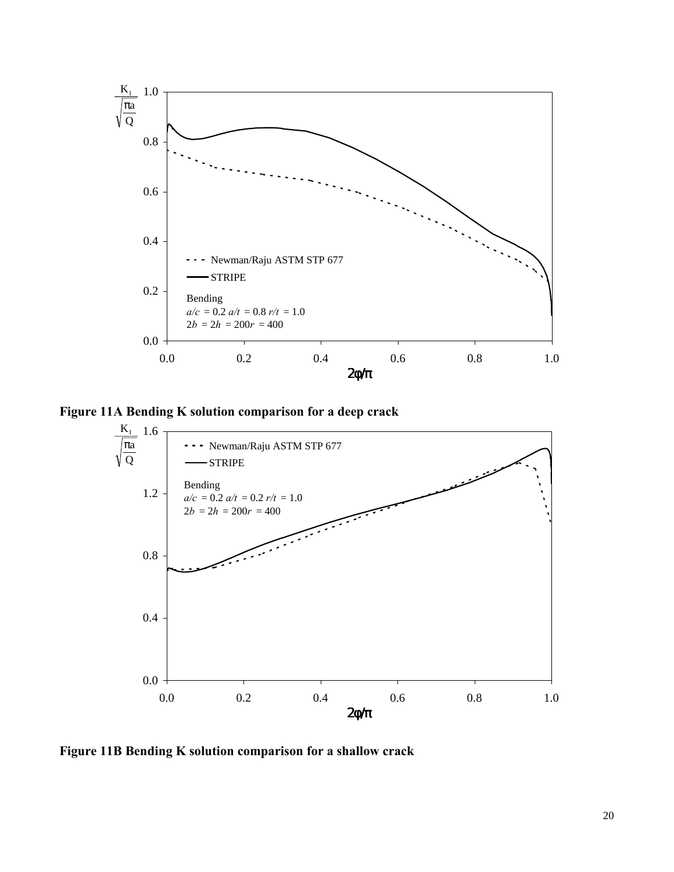<span id="page-19-0"></span>

**Figure 11A Bending K solution comparison for a deep crack** 



**Figure 11B Bending K solution comparison for a shallow crack**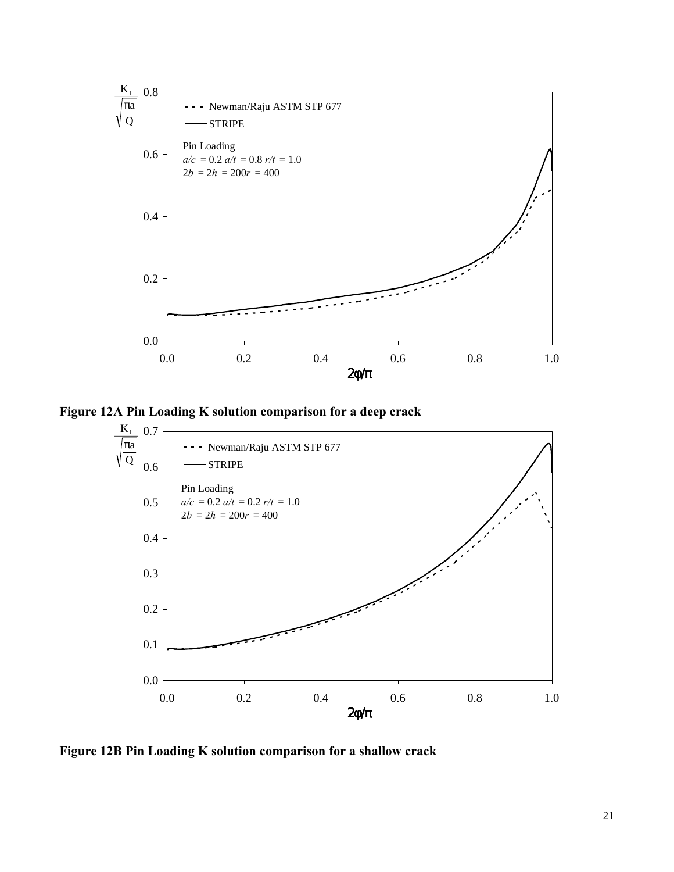<span id="page-20-0"></span>

**Figure 12A Pin Loading K solution comparison for a deep crack** 



**Figure 12B Pin Loading K solution comparison for a shallow crack**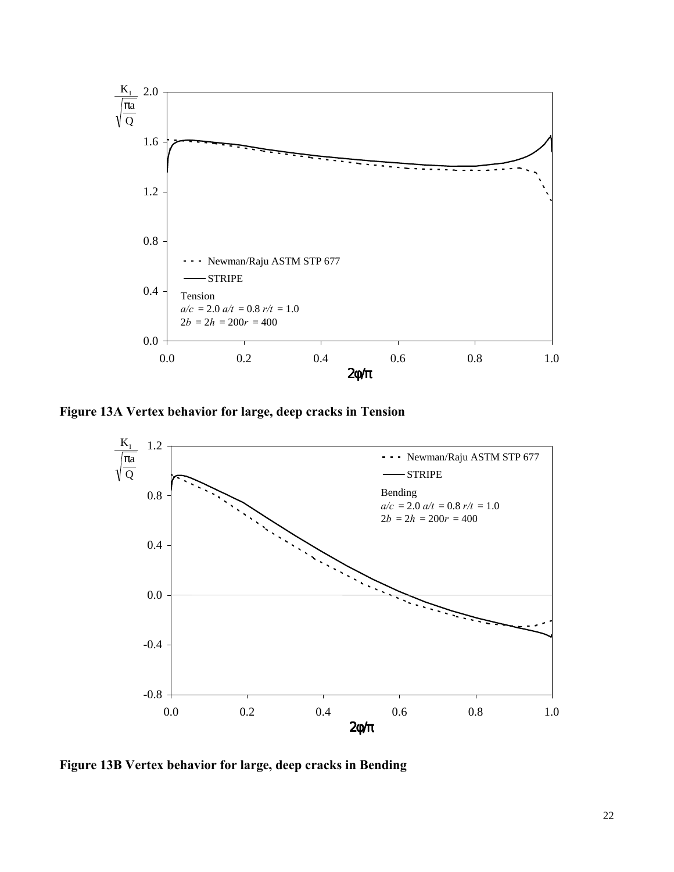<span id="page-21-0"></span>

**Figure 13A Vertex behavior for large, deep cracks in Tension** 



**Figure 13B Vertex behavior for large, deep cracks in Bending**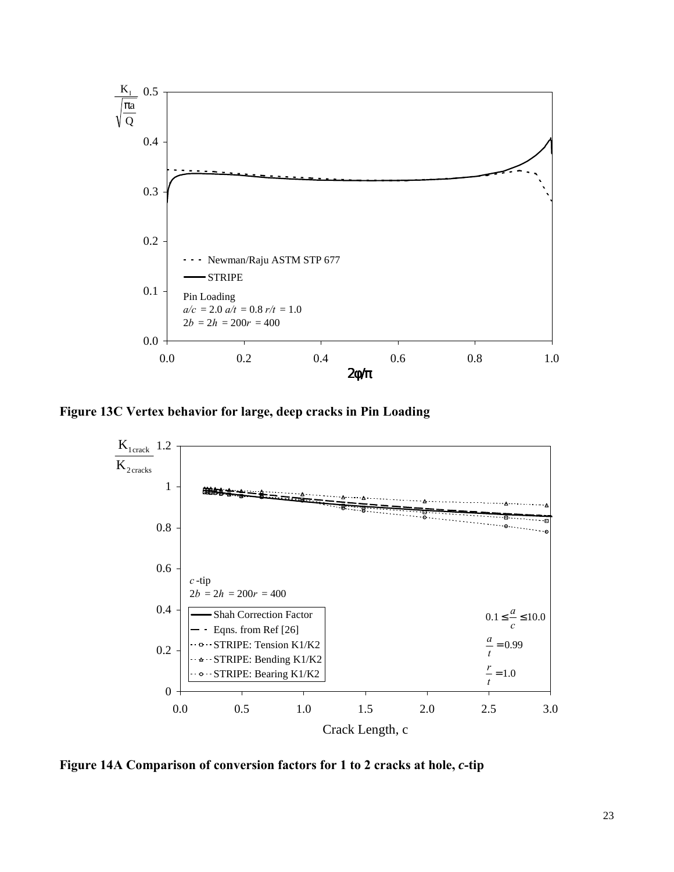<span id="page-22-0"></span>

**Figure 13C Vertex behavior for large, deep cracks in Pin Loading** 



**Figure 14A Comparison of conversion factors for 1 to 2 cracks at hole,** *c***-tip**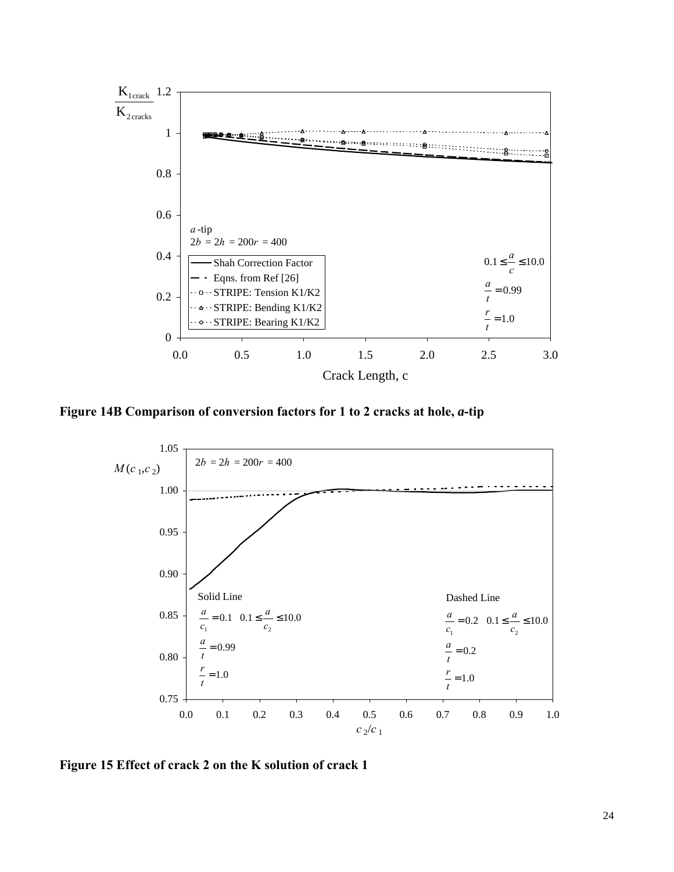<span id="page-23-0"></span>

**Figure 14B Comparison of conversion factors for 1 to 2 cracks at hole,** *a***-tip** 



**Figure 15 Effect of crack 2 on the K solution of crack 1**